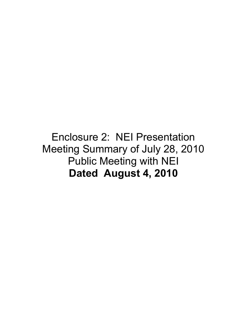#### Enclosure 2: NEI Presentation Meeting Summary of July 28, 2010 Public Meeting with NEI **Dated August 4, 2010**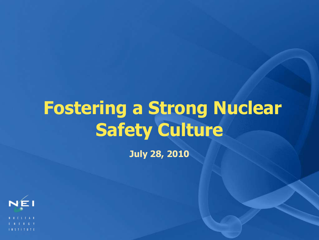# **Fostering a Strong Nuclear Safety Culture**

**July 28, 2010**

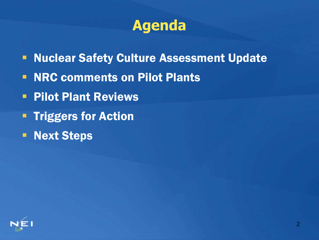

- **Nuclear Safety Culture Assessment Update**
- NRC comments on Pilot Plants
- **Pilot Plant Reviews**
- **Triggers for Action**
- **Next Steps**

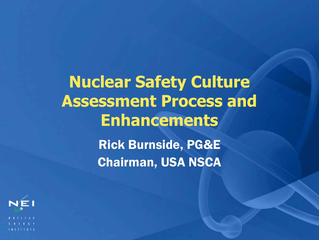**Nuclear Safety Culture Assessment Process and Enhancements** Rick Burnside, PG&E Chairman, USA NSCA

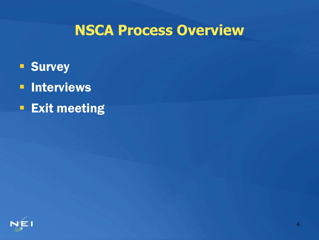### **NSCA Process Overview**

- **Survey**
- **E** Interviews
- **Exit meeting**

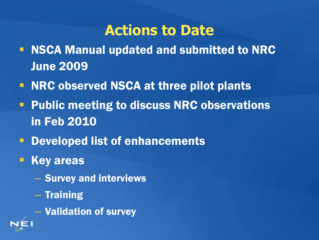### **Actions to Date**

- NSCA Manual updated and submitted to NRC June 2009
- **NRC observed NSCA at three pilot plants**
- **Public meeting to discuss NRC observations** in Feb 2010
- **PEDEVELOPED IS DEVELOPED IS CONTROLLER**
- **Key areas** 
	- Survey and interviews
	- Training
	- Validation of survey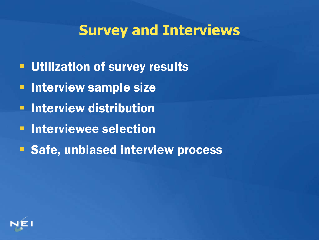### **Survey and Interviews**

- **Utilization of survey results**
- **Interview sample size**
- **E** Interview distribution
- **E** Interviewee selection
- **Safe, unbiased interview process**

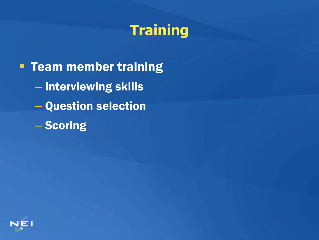### **Training**

**Team member training** – Interviewing skills – Question selection – Scoring

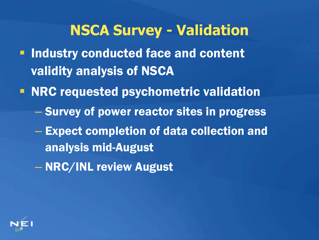#### **NSCA Survey - Validation**

- **Industry conducted face and content** validity analysis of NSCA
- **NRC requested psychometric validation** 
	- Survey of power reactor sites in progress
	- Expect completion of data collection and analysis mid-August
	- NRC/INL review August

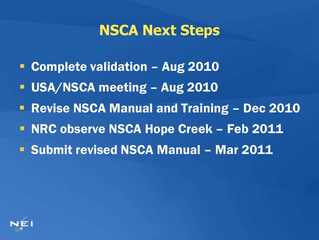### **NSCA Next Steps**

- **Complete validation Aug 2010**
- USA/NSCA meeting Aug 2010
- **Revise NSCA Manual and Training Dec 2010**
- **NRC observe NSCA Hope Creek Feb 2011**
- **Submit revised NSCA Manual Mar 2011**

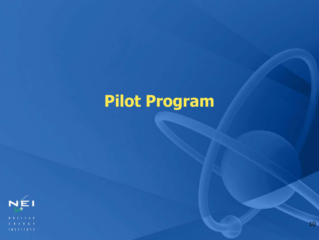# **Pilot Program**

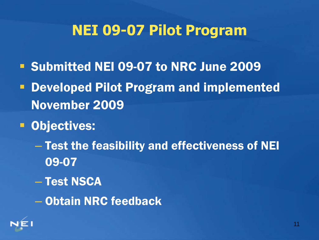### **NEI 09-07 Pilot Program**

- **Submitted NEI 09-07 to NRC June 2009**
- Developed Pilot Program and implemented November 2009
- **Dbjectives:** 
	- Test the feasibility and effectiveness of NEI 09-07
	- Test NSCA
	- Obtain NRC feedback

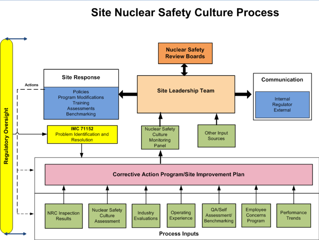#### Site Nuclear Safety Culture Process

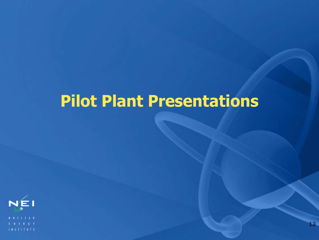## **Pilot Plant Presentations**

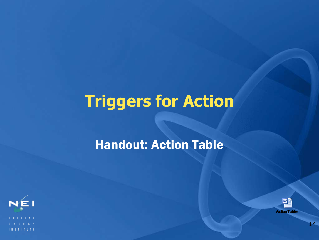# **Triggers for Action**

#### Handout: Action Table